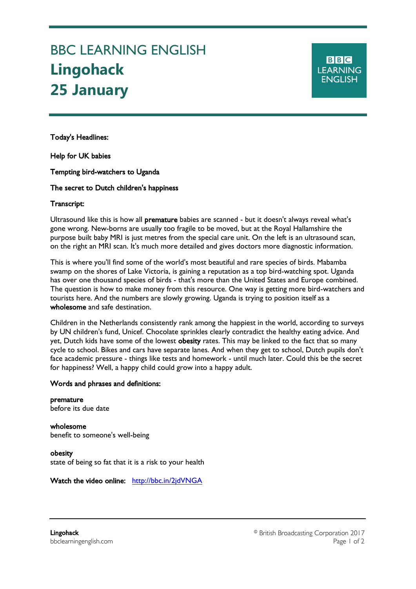# BBC LEARNING ENGLISH **Lingohack 25 January**

**BBC LEARNING ENGLISH** 

Today's Headlines:

Ξ

Ξ

Help for UK babies

Tempting bird-watchers to Uganda

The secret to Dutch children's happiness

## Transcript:

Ultrasound like this is how all premature babies are scanned - but it doesn't always reveal what's gone wrong. New-borns are usually too fragile to be moved, but at the Royal Hallamshire the purpose built baby MRI is just metres from the special care unit. On the left is an ultrasound scan, on the right an MRI scan. It's much more detailed and gives doctors more diagnostic information.

This is where you'll find some of the world's most beautiful and rare species of birds. Mabamba swamp on the shores of Lake Victoria, is gaining a reputation as a top bird-watching spot. Uganda has over one thousand species of birds - that's more than the United States and Europe combined. The question is how to make money from this resource. One way is getting more bird-watchers and tourists here. And the numbers are slowly growing. Uganda is trying to position itself as a wholesome and safe destination.

Children in the Netherlands consistently rank among the happiest in the world, according to surveys by UN children's fund, Unicef. Chocolate sprinkles clearly contradict the healthy eating advice. And yet, Dutch kids have some of the lowest obesity rates. This may be linked to the fact that so many cycle to school. Bikes and cars have separate lanes. And when they get to school, Dutch pupils don't face academic pressure - things like tests and homework - until much later. Could this be the secret for happiness? Well, a happy child could grow into a happy adult.

#### Words and phrases and definitions:

premature before its due date

wholesome benefit to someone's well-being

obesity state of being so fat that it is a risk to your health

Watch the video online: <http://bbc.in/2jdVNGA>